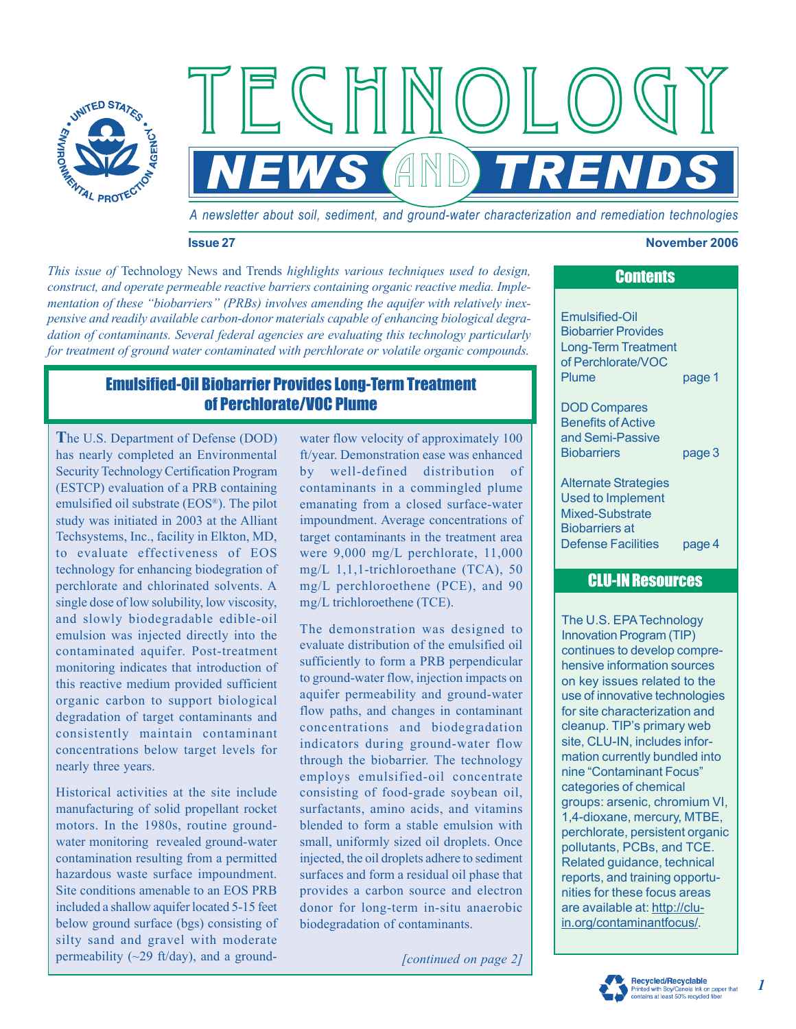

*A newsletter about soil, sediment, and ground-water characterization and remediation technologies*

*NEWS TRENDS*

 $\mathbb{A}$ 

#### **Issue 27 November 2006**

*This issue of* Technology News and Trends *highlights various techniques used to design, construct, and operate permeable reactive barriers containing organic reactive media. Implementation of these "biobarriers" (PRBs) involves amending the aquifer with relatively inexpensive and readily available carbon-donor materials capable of enhancing biological degradation of contaminants. Several federal agencies are evaluating this technology particularly for treatment of ground water contaminated with perchlorate or volatile organic compounds.*

## Emulsified-Oil Biobarrier Provides Long-Term Treatment of Perchlorate/VOC Plume

**T**he U.S. Department of Defense (DOD) has nearly completed an Environmental Security Technology Certification Program (ESTCP) evaluation of a PRB containing emulsified oil substrate (EOS®). The pilot study was initiated in 2003 at the Alliant Techsystems, Inc., facility in Elkton, MD, to evaluate effectiveness of EOS technology for enhancing biodegration of perchlorate and chlorinated solvents. A single dose of low solubility, low viscosity, and slowly biodegradable edible-oil emulsion was injected directly into the contaminated aquifer. Post-treatment monitoring indicates that introduction of this reactive medium provided sufficient organic carbon to support biological degradation of target contaminants and consistently maintain contaminant concentrations below target levels for nearly three years.

Historical activities at the site include manufacturing of solid propellant rocket motors. In the 1980s, routine groundwater monitoring revealed ground-water contamination resulting from a permitted hazardous waste surface impoundment. Site conditions amenable to an EOS PRB included a shallow aquifer located 5-15 feet below ground surface (bgs) consisting of silty sand and gravel with moderate permeability  $(\sim 29 \text{ ft/day})$ , and a groundwater flow velocity of approximately 100 ft/year. Demonstration ease was enhanced by well-defined distribution of contaminants in a commingled plume emanating from a closed surface-water impoundment. Average concentrations of target contaminants in the treatment area were 9,000 mg/L perchlorate, 11,000 mg/L 1,1,1-trichloroethane (TCA), 50 mg/L perchloroethene (PCE), and 90 mg/L trichloroethene (TCE).

The demonstration was designed to evaluate distribution of the emulsified oil sufficiently to form a PRB perpendicular to ground-water flow, injection impacts on aquifer permeability and ground-water flow paths, and changes in contaminant concentrations and biodegradation indicators during ground-water flow through the biobarrier. The technology employs emulsified-oil concentrate consisting of food-grade soybean oil, surfactants, amino acids, and vitamins blended to form a stable emulsion with small, uniformly sized oil droplets. Once injected, the oil droplets adhere to sediment surfaces and form a residual oil phase that provides a carbon source and electron donor for long-term in-situ anaerobic biodegradation of contaminants.

*[continued on page 2]*

**Contents** 

Emulsified-Oil Biobarrier Provides Long-Term Treatment of Perchlorate/VOC Plume page 1

DOD Compares Benefits of Active and Semi-Passive Biobarriers page 3

Alternate Strategies Used to Implement Mixed-Substrate Biobarriers at Defense Facilities page 4

## CLU-IN Resources

The U.S. EPA Technology Innovation Program (TIP) continues to develop comprehensive information sources on key issues related to the use of innovative technologies for site characterization and cleanup. TIP's primary web site, CLU-IN, includes information currently bundled into nine "Contaminant Focus" categories of chemical groups: arsenic, chromium VI, 1,4-dioxane, mercury, MTBE, perchlorate, persistent organic pollutants, PCBs, and TCE. Related guidance, technical reports, and training opportunities for these focus areas are available at: http://cluin.org/contaminantfocus/.



*1*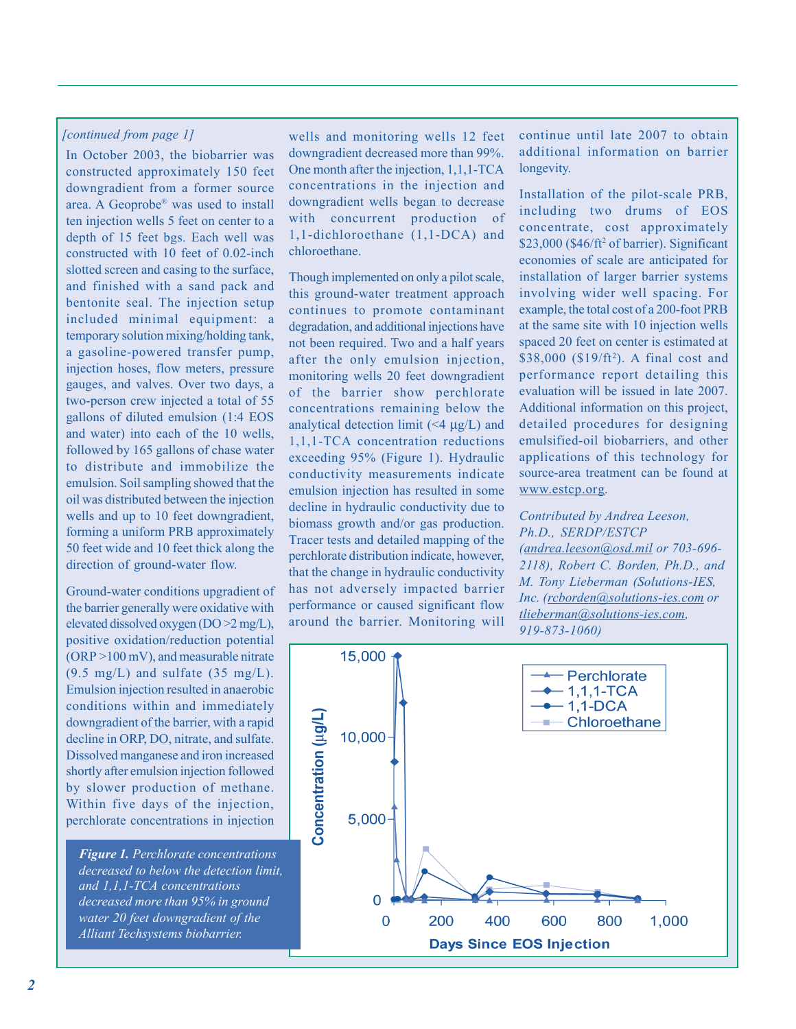#### *[continued from page 1]*

In October 2003, the biobarrier was constructed approximately 150 feet downgradient from a former source area. A Geoprobe® was used to install ten injection wells 5 feet on center to a depth of 15 feet bgs. Each well was constructed with 10 feet of 0.02-inch slotted screen and casing to the surface, and finished with a sand pack and bentonite seal. The injection setup included minimal equipment: a temporary solution mixing/holding tank, a gasoline-powered transfer pump, injection hoses, flow meters, pressure gauges, and valves. Over two days, a two-person crew injected a total of 55 gallons of diluted emulsion (1:4 EOS and water) into each of the 10 wells, followed by 165 gallons of chase water to distribute and immobilize the emulsion. Soil sampling showed that the oil was distributed between the injection wells and up to 10 feet downgradient, forming a uniform PRB approximately 50 feet wide and 10 feet thick along the direction of ground-water flow.

Ground-water conditions upgradient of the barrier generally were oxidative with elevated dissolved oxygen (DO >2 mg/L), positive oxidation/reduction potential (ORP >100 mV), and measurable nitrate  $(9.5 \text{ mg/L})$  and sulfate  $(35 \text{ mg/L})$ . Emulsion injection resulted in anaerobic conditions within and immediately downgradient of the barrier, with a rapid decline in ORP, DO, nitrate, and sulfate. Dissolved manganese and iron increased shortly after emulsion injection followed by slower production of methane. Within five days of the injection, perchlorate concentrations in injection

*Figure 1. Perchlorate concentrations decreased to below the detection limit, and 1,1,1-TCA concentrations decreased more than 95% in ground water 20 feet downgradient of the Alliant Techsystems biobarrier.*

wells and monitoring wells 12 feet downgradient decreased more than 99%. One month after the injection, 1,1,1-TCA concentrations in the injection and downgradient wells began to decrease with concurrent production of 1,1-dichloroethane (1,1-DCA) and chloroethane.

Though implemented on only a pilot scale, this ground-water treatment approach continues to promote contaminant degradation, and additional injections have not been required. Two and a half years after the only emulsion injection, monitoring wells 20 feet downgradient of the barrier show perchlorate concentrations remaining below the analytical detection limit  $(\leq 4 \mu g/L)$  and 1,1,1-TCA concentration reductions exceeding 95% (Figure 1). Hydraulic conductivity measurements indicate emulsion injection has resulted in some decline in hydraulic conductivity due to biomass growth and/or gas production. Tracer tests and detailed mapping of the perchlorate distribution indicate, however, that the change in hydraulic conductivity has not adversely impacted barrier performance or caused significant flow around the barrier. Monitoring will

continue until late 2007 to obtain additional information on barrier longevity.

Installation of the pilot-scale PRB, including two drums of EOS concentrate, cost approximately \$23,000 (\$46/ft<sup>2</sup> of barrier). Significant economies of scale are anticipated for installation of larger barrier systems involving wider well spacing. For example, the total cost of a 200-foot PRB at the same site with 10 injection wells spaced 20 feet on center is estimated at \$38,000 (\$19/ft<sup>2</sup>). A final cost and performance report detailing this evaluation will be issued in late 2007. Additional information on this project, detailed procedures for designing emulsified-oil biobarriers, and other applications of this technology for source-area treatment can be found at www.estcp.org.

## *Contributed by Andrea Leeson, Ph.D., SERDP/ESTCP (andrea.leeson@osd.mil or 703-696- 2118), Robert C. Borden, Ph.D., and M. Tony Lieberman (Solutions-IES, Inc. (rcborden@solutions-ies.com or tlieberman@solutions-ies.com,*

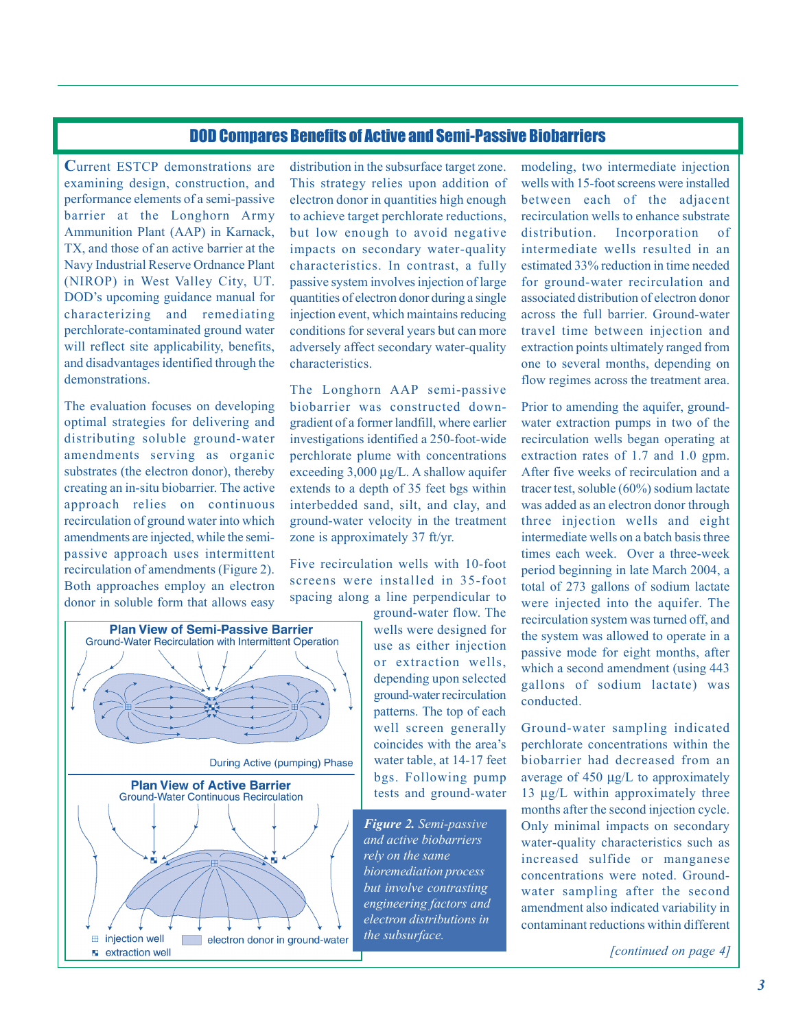## DOD Compares Benefits of Active and Semi-Passive Biobarriers

**C**urrent ESTCP demonstrations are examining design, construction, and performance elements of a semi-passive barrier at the Longhorn Army Ammunition Plant (AAP) in Karnack, TX, and those of an active barrier at the Navy Industrial Reserve Ordnance Plant (NIROP) in West Valley City, UT. DOD's upcoming guidance manual for characterizing and remediating perchlorate-contaminated ground water will reflect site applicability, benefits, and disadvantages identified through the demonstrations.

The evaluation focuses on developing optimal strategies for delivering and distributing soluble ground-water amendments serving as organic substrates (the electron donor), thereby creating an in-situ biobarrier. The active approach relies on continuous recirculation of ground water into which amendments are injected, while the semipassive approach uses intermittent recirculation of amendments (Figure 2). Both approaches employ an electron donor in soluble form that allows easy



distribution in the subsurface target zone. This strategy relies upon addition of electron donor in quantities high enough to achieve target perchlorate reductions, but low enough to avoid negative impacts on secondary water-quality characteristics. In contrast, a fully passive system involves injection of large quantities of electron donor during a single injection event, which maintains reducing conditions for several years but can more adversely affect secondary water-quality characteristics.

The Longhorn AAP semi-passive biobarrier was constructed downgradient of a former landfill, where earlier investigations identified a 250-foot-wide perchlorate plume with concentrations exceeding 3,000 µg/L. A shallow aquifer extends to a depth of 35 feet bgs within interbedded sand, silt, and clay, and ground-water velocity in the treatment zone is approximately 37 ft/yr.

Five recirculation wells with 10-foot screens were installed in 35-foot spacing along a line perpendicular to

ground-water flow. The wells were designed for use as either injection or extraction wells, depending upon selected ground-water recirculation patterns. The top of each well screen generally coincides with the area's water table, at 14-17 feet bgs. Following pump tests and ground-water

*Figure 2. Semi-passive and active biobarriers rely on the same bioremediation process but involve contrasting engineering factors and electron distributions in the subsurface.*

modeling, two intermediate injection wells with 15-foot screens were installed between each of the adjacent recirculation wells to enhance substrate distribution. Incorporation of intermediate wells resulted in an estimated 33% reduction in time needed for ground-water recirculation and associated distribution of electron donor across the full barrier. Ground-water travel time between injection and extraction points ultimately ranged from one to several months, depending on flow regimes across the treatment area.

Prior to amending the aquifer, groundwater extraction pumps in two of the recirculation wells began operating at extraction rates of 1.7 and 1.0 gpm. After five weeks of recirculation and a tracer test, soluble (60%) sodium lactate was added as an electron donor through three injection wells and eight intermediate wells on a batch basis three times each week. Over a three-week period beginning in late March 2004, a total of 273 gallons of sodium lactate were injected into the aquifer. The recirculation system was turned off, and the system was allowed to operate in a passive mode for eight months, after which a second amendment (using  $443$ ) gallons of sodium lactate) was conducted.

Ground-water sampling indicated perchlorate concentrations within the biobarrier had decreased from an average of 450 µg/L to approximately 13 µg/L within approximately three months after the second injection cycle. Only minimal impacts on secondary water-quality characteristics such as increased sulfide or manganese concentrations were noted. Groundwater sampling after the second amendment also indicated variability in contaminant reductions within different

*[continued on page 4]*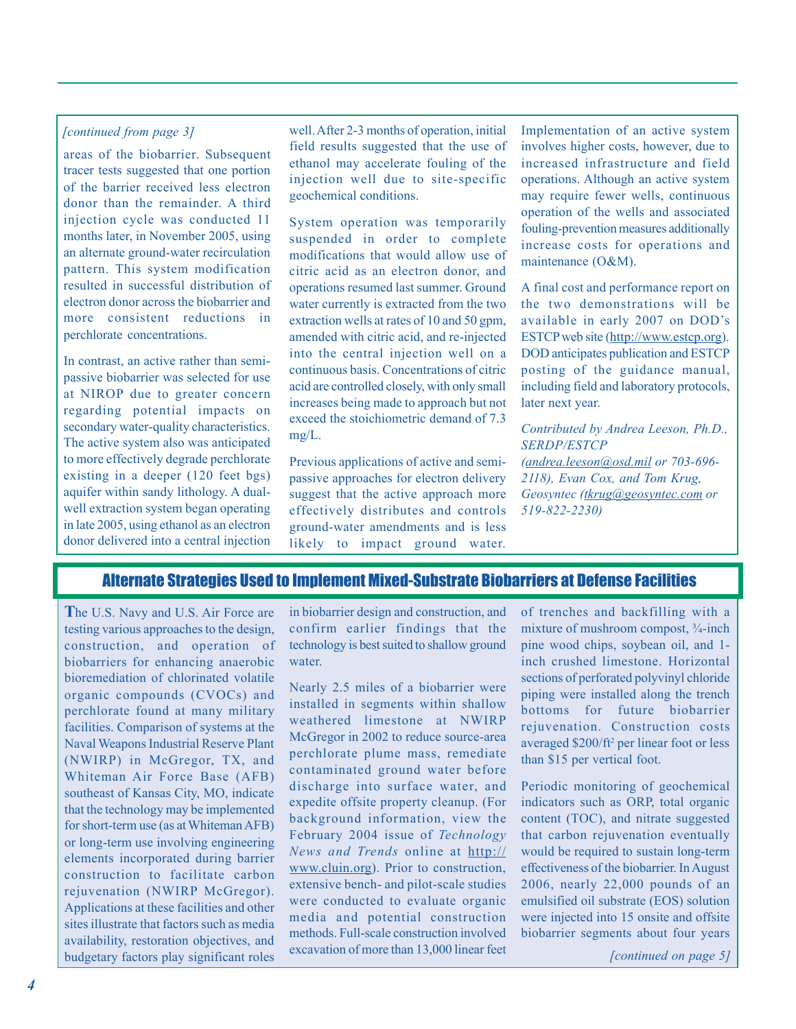### *[continued from page 3]*

areas of the biobarrier. Subsequent tracer tests suggested that one portion of the barrier received less electron donor than the remainder. A third injection cycle was conducted 11 months later, in November 2005, using an alternate ground-water recirculation pattern. This system modification resulted in successful distribution of electron donor across the biobarrier and more consistent reductions in perchlorate concentrations.

In contrast, an active rather than semipassive biobarrier was selected for use at NIROP due to greater concern regarding potential impacts on secondary water-quality characteristics. The active system also was anticipated to more effectively degrade perchlorate existing in a deeper (120 feet bgs) aquifer within sandy lithology. A dualwell extraction system began operating in late 2005, using ethanol as an electron donor delivered into a central injection

well. After 2-3 months of operation, initial field results suggested that the use of ethanol may accelerate fouling of the injection well due to site-specific geochemical conditions.

System operation was temporarily suspended in order to complete modifications that would allow use of citric acid as an electron donor, and operations resumed last summer. Ground water currently is extracted from the two extraction wells at rates of 10 and 50 gpm, amended with citric acid, and re-injected into the central injection well on a continuous basis. Concentrations of citric acid are controlled closely, with only small increases being made to approach but not exceed the stoichiometric demand of 7.3 mg/L.

Previous applications of active and semipassive approaches for electron delivery suggest that the active approach more effectively distributes and controls ground-water amendments and is less likely to impact ground water.

Implementation of an active system involves higher costs, however, due to increased infrastructure and field operations. Although an active system may require fewer wells, continuous operation of the wells and associated fouling-prevention measures additionally increase costs for operations and maintenance (O&M).

A final cost and performance report on the two demonstrations will be available in early 2007 on DOD's ESTCP web site (http://www.estcp.org). DOD anticipates publication and ESTCP posting of the guidance manual, including field and laboratory protocols, later next year.

*Contributed by Andrea Leeson, Ph.D., SERDP/ESTCP (andrea.leeson@osd.mil or 703-696- 2118), Evan Cox, and Tom Krug, Geosyntec (tkrug@geosyntec.com or 519-822-2230)*

## Alternate Strategies Used to Implement Mixed-Substrate Biobarriers at Defense Facilities

**T**he U.S. Navy and U.S. Air Force are testing various approaches to the design, construction, and operation of biobarriers for enhancing anaerobic bioremediation of chlorinated volatile organic compounds (CVOCs) and perchlorate found at many military facilities. Comparison of systems at the Naval Weapons Industrial Reserve Plant (NWIRP) in McGregor, TX, and Whiteman Air Force Base (AFB) southeast of Kansas City, MO, indicate that the technology may be implemented for short-term use (as at Whiteman AFB) or long-term use involving engineering elements incorporated during barrier construction to facilitate carbon rejuvenation (NWIRP McGregor). Applications at these facilities and other sites illustrate that factors such as media availability, restoration objectives, and budgetary factors play significant roles in biobarrier design and construction, and confirm earlier findings that the technology is best suited to shallow ground water.

Nearly 2.5 miles of a biobarrier were installed in segments within shallow weathered limestone at NWIRP McGregor in 2002 to reduce source-area perchlorate plume mass, remediate contaminated ground water before discharge into surface water, and expedite offsite property cleanup. (For background information, view the February 2004 issue of *Technology News and Trends* online at http:// www.cluin.org). Prior to construction, extensive bench- and pilot-scale studies were conducted to evaluate organic media and potential construction methods. Full-scale construction involved excavation of more than 13,000 linear feet

of trenches and backfilling with a mixture of mushroom compost, ¾-inch pine wood chips, soybean oil, and 1 inch crushed limestone. Horizontal sections of perforated polyvinyl chloride piping were installed along the trench bottoms for future biobarrier rejuvenation. Construction costs averaged \$200/ft<sup>2</sup> per linear foot or less than \$15 per vertical foot.

Periodic monitoring of geochemical indicators such as ORP, total organic content (TOC), and nitrate suggested that carbon rejuvenation eventually would be required to sustain long-term effectiveness of the biobarrier. In August 2006, nearly 22,000 pounds of an emulsified oil substrate (EOS) solution were injected into 15 onsite and offsite biobarrier segments about four years

*[continued on page 5]*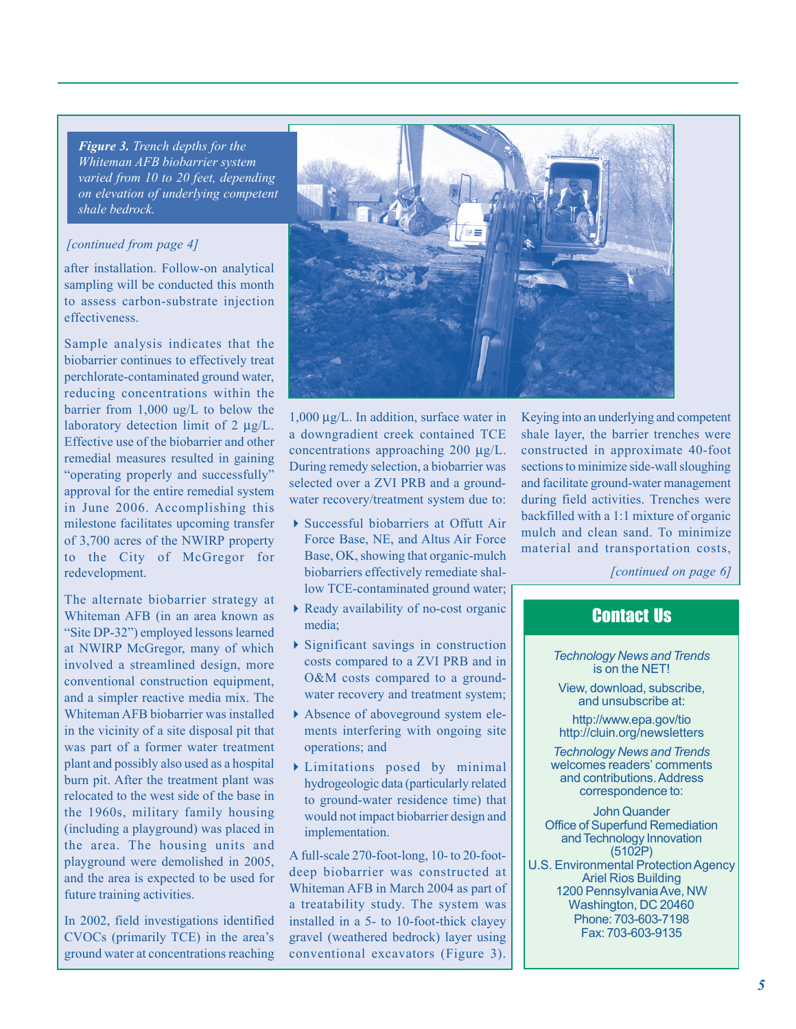*Figure 3. Trench depths for the Whiteman AFB biobarrier system varied from 10 to 20 feet, depending on elevation of underlying competent shale bedrock.*

#### *[continued from page 4]*

after installation. Follow-on analytical sampling will be conducted this month to assess carbon-substrate injection effectiveness.

Sample analysis indicates that the biobarrier continues to effectively treat perchlorate-contaminated ground water, reducing concentrations within the barrier from 1,000 ug/L to below the laboratory detection limit of 2  $\mu$ g/L. Effective use of the biobarrier and other remedial measures resulted in gaining "operating properly and successfully" approval for the entire remedial system in June 2006. Accomplishing this milestone facilitates upcoming transfer of 3,700 acres of the NWIRP property to the City of McGregor for redevelopment.

The alternate biobarrier strategy at Whiteman AFB (in an area known as "Site DP-32") employed lessons learned at NWIRP McGregor, many of which involved a streamlined design, more conventional construction equipment, and a simpler reactive media mix. The Whiteman AFB biobarrier was installed in the vicinity of a site disposal pit that was part of a former water treatment plant and possibly also used as a hospital burn pit. After the treatment plant was relocated to the west side of the base in the 1960s, military family housing (including a playground) was placed in the area. The housing units and playground were demolished in 2005, and the area is expected to be used for future training activities.

In 2002, field investigations identified CVOCs (primarily TCE) in the area's ground water at concentrations reaching



1,000 µg/L. In addition, surface water in a downgradient creek contained TCE concentrations approaching 200 µg/L. During remedy selection, a biobarrier was selected over a ZVI PRB and a groundwater recovery/treatment system due to:

- Successful biobarriers at Offutt Air Force Base, NE, and Altus Air Force Base, OK, showing that organic-mulch biobarriers effectively remediate shallow TCE-contaminated ground water;
- Ready availability of no-cost organic media;
- Significant savings in construction costs compared to a ZVI PRB and in O&M costs compared to a groundwater recovery and treatment system;
- Absence of aboveground system elements interfering with ongoing site operations; and
- Limitations posed by minimal hydrogeologic data (particularly related to ground-water residence time) that would not impact biobarrier design and implementation.

A full-scale 270-foot-long, 10- to 20-footdeep biobarrier was constructed at Whiteman AFB in March 2004 as part of a treatability study. The system was installed in a 5- to 10-foot-thick clayey gravel (weathered bedrock) layer using conventional excavators (Figure 3).

Keying into an underlying and competent shale layer, the barrier trenches were constructed in approximate 40-foot sections to minimize side-wall sloughing and facilitate ground-water management during field activities. Trenches were backfilled with a 1:1 mixture of organic mulch and clean sand. To minimize material and transportation costs,

*[continued on page 6]*

# Contact Us

*Technology News and Trends* is on the NET!

View, download, subscribe, and unsubscribe at:

http://www.epa.gov/tio http://cluin.org/newsletters

*Technology News and Trends* welcomes readers' comments and contributions. Address correspondence to:

John Quander Office of Superfund Remediation and Technology Innovation (5102P) U.S. Environmental Protection Agency Ariel Rios Building 1200 Pennsylvania Ave, NW Washington, DC 20460 Phone: 703-603-7198 Fax: 703-603-9135